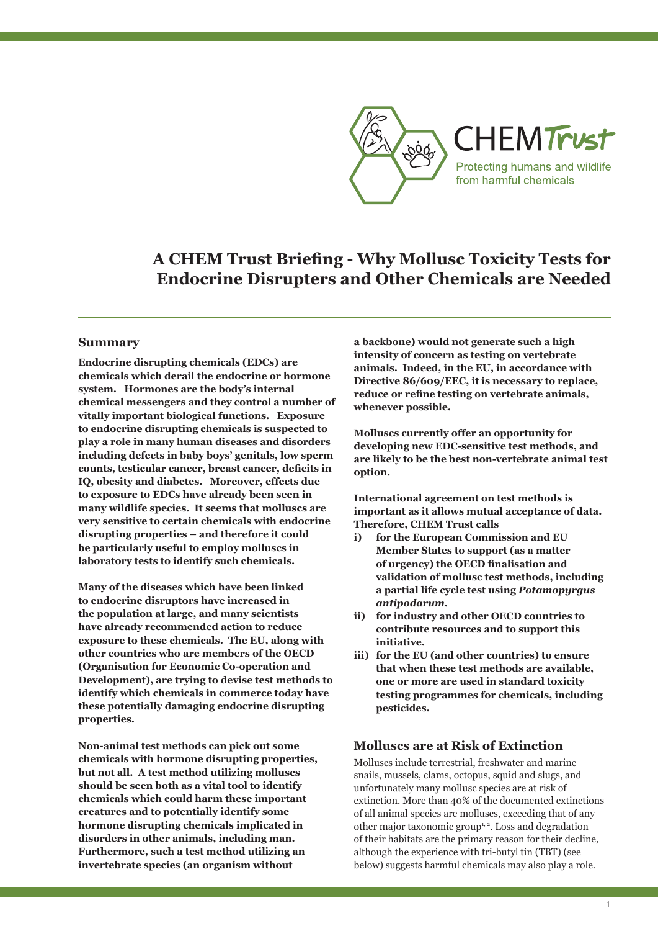

## **A CHEM Trust Briefing - Why Mollusc Toxicity Tests for Endocrine Disrupters and Other Chemicals are Needed**

#### **Summary**

**Endocrine disrupting chemicals (EDCs) are chemicals which derail the endocrine or hormone system. Hormones are the body's internal chemical messengers and they control a number of vitally important biological functions. Exposure to endocrine disrupting chemicals is suspected to play a role in many human diseases and disorders including defects in baby boys' genitals, low sperm counts, testicular cancer, breast cancer, deficits in IQ, obesity and diabetes. Moreover, effects due to exposure to EDCs have already been seen in many wildlife species. It seems that molluscs are very sensitive to certain chemicals with endocrine disrupting properties – and therefore it could be particularly useful to employ molluscs in laboratory tests to identify such chemicals.** 

**Many of the diseases which have been linked to endocrine disruptors have increased in the population at large, and many scientists have already recommended action to reduce exposure to these chemicals. The EU, along with other countries who are members of the OECD (Organisation for Economic Co-operation and Development), are trying to devise test methods to identify which chemicals in commerce today have these potentially damaging endocrine disrupting properties.** 

**Non-animal test methods can pick out some chemicals with hormone disrupting properties, but not all. A test method utilizing molluscs should be seen both as a vital tool to identify chemicals which could harm these important creatures and to potentially identify some hormone disrupting chemicals implicated in disorders in other animals, including man. Furthermore, such a test method utilizing an invertebrate species (an organism without** 

**a backbone) would not generate such a high intensity of concern as testing on vertebrate animals. Indeed, in the EU, in accordance with Directive 86/609/EEC, it is necessary to replace, reduce or refine testing on vertebrate animals, whenever possible.**

**Molluscs currently offer an opportunity for developing new EDC-sensitive test methods, and are likely to be the best non-vertebrate animal test option.** 

**International agreement on test methods is important as it allows mutual acceptance of data. Therefore, CHEM Trust calls**

- **i) for the European Commission and EU Member States to support (as a matter of urgency) the OECD finalisation and validation of mollusc test methods, including a partial life cycle test using** *Potamopyrgus antipodarum.*
- **ii) for industry and other OECD countries to contribute resources and to support this initiative.**
- **iii) for the EU (and other countries) to ensure that when these test methods are available, one or more are used in standard toxicity testing programmes for chemicals, including pesticides.**

#### **Molluscs are at Risk of Extinction**

Molluscs include terrestrial, freshwater and marine snails, mussels, clams, octopus, squid and slugs, and unfortunately many mollusc species are at risk of extinction. More than 40% of the documented extinctions of all animal species are molluscs, exceeding that of any other major taxonomic group<sup>1, 2</sup>. Loss and degradation of their habitats are the primary reason for their decline, although the experience with tri-butyl tin (TBT) (see below) suggests harmful chemicals may also play a role.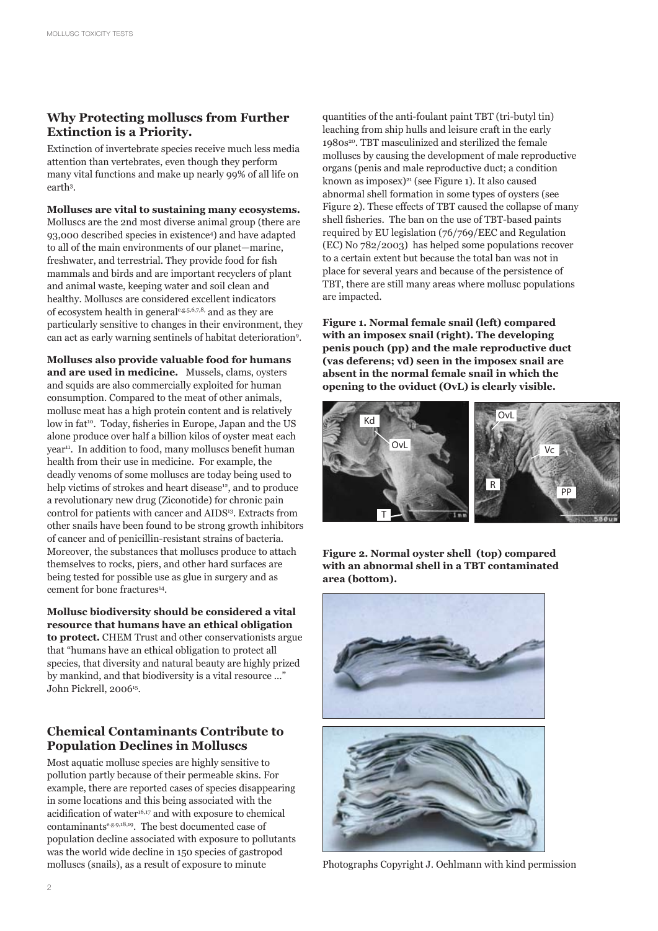## **Why Protecting molluscs from Further Extinction is a Priority.**

Extinction of invertebrate species receive much less media attention than vertebrates, even though they perform many vital functions and make up nearly 99% of all life on earth3 .

**Molluscs are vital to sustaining many ecosystems.**  Molluscs are the 2nd most diverse animal group (there are 93,000 described species in existence4 ) and have adapted to all of the main environments of our planet—marine, freshwater, and terrestrial. They provide food for fish mammals and birds and are important recyclers of plant and animal waste, keeping water and soil clean and healthy. Molluscs are considered excellent indicators of ecosystem health in generale.g.5,6,7,8, and as they are particularly sensitive to changes in their environment, they can act as early warning sentinels of habitat deterioration9 .

**Molluscs also provide valuable food for humans and are used in medicine.** Mussels, clams, oysters and squids are also commercially exploited for human consumption. Compared to the meat of other animals, mollusc meat has a high protein content and is relatively low in fat<sup>10</sup>. Today, fisheries in Europe, Japan and the US alone produce over half a billion kilos of oyster meat each year<sup>11</sup>. In addition to food, many molluscs benefit human health from their use in medicine. For example, the deadly venoms of some molluscs are today being used to help victims of strokes and heart disease<sup>12</sup>, and to produce a revolutionary new drug (Ziconotide) for chronic pain control for patients with cancer and AIDS<sup>13</sup>. Extracts from other snails have been found to be strong growth inhibitors of cancer and of penicillin-resistant strains of bacteria. Moreover, the substances that molluscs produce to attach themselves to rocks, piers, and other hard surfaces are being tested for possible use as glue in surgery and as cement for bone fractures<sup>14</sup>.

**Mollusc biodiversity should be considered a vital resource that humans have an ethical obligation to protect.** CHEM Trust and other conservationists argue that "humans have an ethical obligation to protect all species, that diversity and natural beauty are highly prized by mankind, and that biodiversity is a vital resource ..." John Pickrell, 200615.

## **Chemical Contaminants Contribute to Population Declines in Molluscs**

Most aquatic mollusc species are highly sensitive to pollution partly because of their permeable skins. For example, there are reported cases of species disappearing in some locations and this being associated with the acidification of water<sup>16,17</sup> and with exposure to chemical contaminantse.g.9,18,19. The best documented case of population decline associated with exposure to pollutants was the world wide decline in 150 species of gastropod molluscs (snails), as a result of exposure to minute

quantities of the anti-foulant paint TBT (tri-butyl tin) leaching from ship hulls and leisure craft in the early 1980s<sup>20</sup>. TBT masculinized and sterilized the female molluscs by causing the development of male reproductive organs (penis and male reproductive duct; a condition known as imposex)<sup>21</sup> (see Figure 1). It also caused abnormal shell formation in some types of oysters (see Figure 2). These effects of TBT caused the collapse of many shell fisheries. The ban on the use of TBT-based paints required by EU legislation (76/769/EEC and Regulation (EC) No 782/2003) has helped some populations recover to a certain extent but because the total ban was not in place for several years and because of the persistence of TBT, there are still many areas where mollusc populations are impacted.

**Figure 1. Normal female snail (left) compared with an imposex snail (right). The developing penis pouch (pp) and the male reproductive duct (vas deferens; vd) seen in the imposex snail are absent in the normal female snail in which the opening to the oviduct (OvL) is clearly visible.** 



**Figure 2. Normal oyster shell (top) compared with an abnormal shell in a TBT contaminated area (bottom).** 



Photographs Copyright J. Oehlmann with kind permission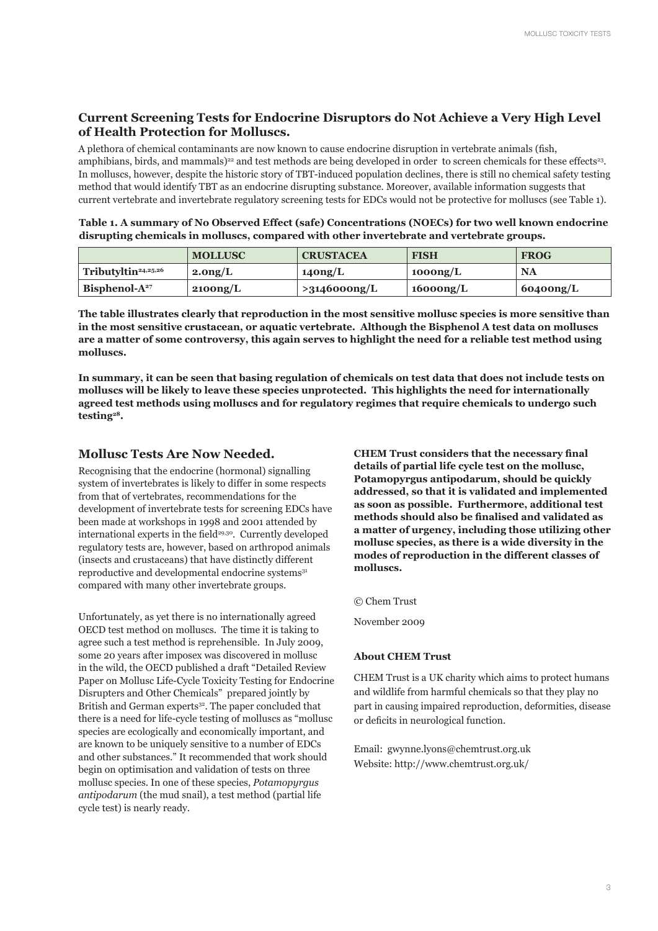## **Current Screening Tests for Endocrine Disruptors do Not Achieve a Very High Level of Health Protection for Molluscs.**

A plethora of chemical contaminants are now known to cause endocrine disruption in vertebrate animals (fish, amphibians, birds, and mammals)<sup>22</sup> and test methods are being developed in order to screen chemicals for these effects<sup>23</sup>. In molluscs, however, despite the historic story of TBT-induced population declines, there is still no chemical safety testing method that would identify TBT as an endocrine disrupting substance. Moreover, available information suggests that current vertebrate and invertebrate regulatory screening tests for EDCs would not be protective for molluscs (see Table 1).

| Table 1. A summary of No Observed Effect (safe) Concentrations (NOECs) for two well known endocrine |
|-----------------------------------------------------------------------------------------------------|
| disrupting chemicals in molluscs, compared with other invertebrate and vertebrate groups.           |

|                                 | <b>MOLLUSC</b>      | <b>CRUSTACEA</b>    | <b>FISH</b> | <b>FROG</b>       |
|---------------------------------|---------------------|---------------------|-------------|-------------------|
| Tributyltin <sup>24,25,26</sup> | 2.0 <sub>ng/L</sub> | 140 <sub>ng/L</sub> | 1000ng/L    | <b>NA</b>         |
| Bisphenol- $A27$                | 2100ng/L            | >3146000ng/L        | 16000ng/L   | $\sim 60400$ ng/L |

**The table illustrates clearly that reproduction in the most sensitive mollusc species is more sensitive than in the most sensitive crustacean, or aquatic vertebrate. Although the Bisphenol A test data on molluscs are a matter of some controversy, this again serves to highlight the need for a reliable test method using molluscs.**

**In summary, it can be seen that basing regulation of chemicals on test data that does not include tests on molluscs will be likely to leave these species unprotected. This highlights the need for internationally agreed test methods using molluscs and for regulatory regimes that require chemicals to undergo such testing28.** 

### **Mollusc Tests Are Now Needed.**

Recognising that the endocrine (hormonal) signalling system of invertebrates is likely to differ in some respects from that of vertebrates, recommendations for the development of invertebrate tests for screening EDCs have been made at workshops in 1998 and 2001 attended by international experts in the field<sup>29,30</sup>. Currently developed regulatory tests are, however, based on arthropod animals (insects and crustaceans) that have distinctly different reproductive and developmental endocrine systems<sup>31</sup> compared with many other invertebrate groups.

Unfortunately, as yet there is no internationally agreed OECD test method on molluscs. The time it is taking to agree such a test method is reprehensible. In July 2009, some 20 years after imposex was discovered in mollusc in the wild, the OECD published a draft "Detailed Review Paper on Mollusc Life-Cycle Toxicity Testing for Endocrine Disrupters and Other Chemicals" prepared jointly by British and German experts<sup>32</sup>. The paper concluded that there is a need for life-cycle testing of molluscs as "mollusc species are ecologically and economically important, and are known to be uniquely sensitive to a number of EDCs and other substances." It recommended that work should begin on optimisation and validation of tests on three mollusc species. In one of these species, *Potamopyrgus antipodarum* (the mud snail), a test method (partial life cycle test) is nearly ready.

**CHEM Trust considers that the necessary final details of partial life cycle test on the mollusc, Potamopyrgus antipodarum, should be quickly addressed, so that it is validated and implemented as soon as possible. Furthermore, additional test methods should also be finalised and validated as a matter of urgency, including those utilizing other mollusc species, as there is a wide diversity in the modes of reproduction in the different classes of molluscs.**

© Chem Trust

November 2009

#### **About CHEM Trust**

CHEM Trust is a UK charity which aims to protect humans and wildlife from harmful chemicals so that they play no part in causing impaired reproduction, deformities, disease or deficits in neurological function.

Email: gwynne.lyons@chemtrust.org.uk Website: http://www.chemtrust.org.uk/